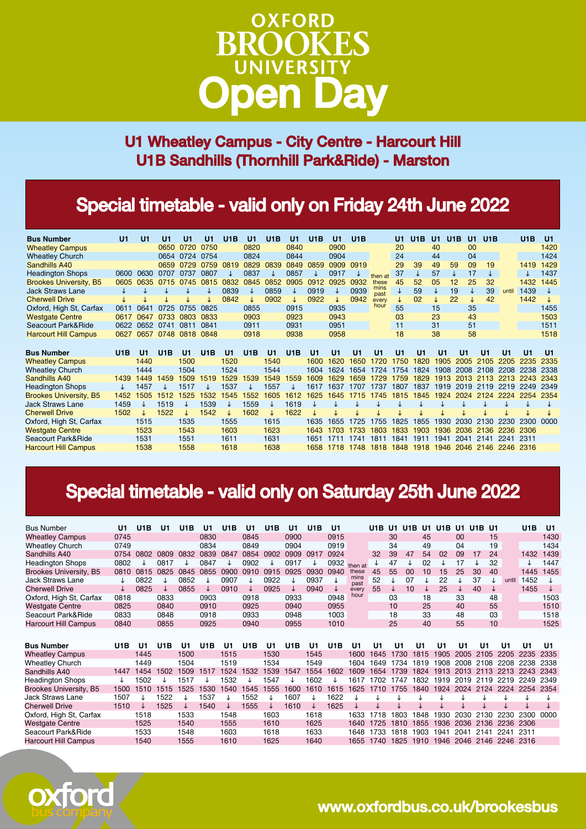# **OXFORD RROOKES** UNIVERSITY

U1 Wheatley Campus - City Centre - Harcourt Hill U1B Sandhills (Thornhill Park&Ride) - Marston

## Special timetable - valid only on Friday 24th June 2022

| <b>Bus Number</b>                                 | U1   | U1             | U1   | U <sub>1</sub> | U1   | U1B          | U <sub>1</sub> | U1B          | U1   | U <sub>1</sub> B | U1   | U1B            |              | U1   | U1B            | U1             | U1B          | U1 | U1B            |                | U <sub>1</sub> B | U <sub>1</sub> |
|---------------------------------------------------|------|----------------|------|----------------|------|--------------|----------------|--------------|------|------------------|------|----------------|--------------|------|----------------|----------------|--------------|----|----------------|----------------|------------------|----------------|
| <b>Wheatley Campus</b>                            |      |                | 0650 | 0720           | 0750 |              | 0820           |              | 0840 |                  | 0900 |                |              | 20   |                | 40             |              | 00 |                |                |                  | 1420           |
| <b>Wheatley Church</b>                            |      |                | 0654 | 0724           | 0754 |              | 0824           |              | 0844 |                  | 0904 |                |              | 24   |                | 44             |              | 04 |                |                |                  | 1424           |
| Sandhills A40                                     |      |                | 0659 | 0729           | 0759 | 0819         | 0829           | 0839         | 0849 | 0859             | 0909 | 0919           |              | 29   | 39             | 49             | 59           | 09 | 19             |                | 1419             | 1429           |
| <b>Headington Shops</b>                           | 0600 | 0630           | 0707 | 0737           | 0807 |              | 0837           |              | 0857 | ↓                | 0917 |                | then at      | 37   | ↓              | 57             | ↓            | 17 | ↓              |                | ↓                | 1437           |
| <b>Brookes University, B5</b>                     | 0605 | 0635           | 0715 | 0745           | 0815 | 0832         | 0845           | 0852         | 0905 | 0912             | 0925 | 0932           | these        | 45   | 52             | 05             | 12           | 25 | 32             |                | 1432             | 1445           |
| <b>Jack Straws Lane</b>                           |      |                |      |                |      | 0839         |                | 0859         |      | 0919             |      | 0939           | mins<br>past | ↓    | 59             | Τ              | 19           | ↓  | 39             | until          | 1439             |                |
| <b>Cherwell Drive</b>                             |      |                |      |                |      | 0842         |                | 0902         |      | 0922             |      | 0942           | every        | J    | 02             | ↓              | 22           | ↓  | 42             |                | 1442             |                |
| Oxford, High St, Carfax                           | 0611 | 0641           | 0725 | 0755           | 0825 |              | 0855           |              | 0915 |                  | 0935 |                | hour         | 55   |                | 15             |              | 35 |                |                |                  | 1455           |
| <b>Westgate Centre</b>                            | 0617 | 0647           | 0733 | 0803           | 0833 |              | 0903           |              | 0923 |                  | 0943 |                |              | 03   |                | 23             |              | 43 |                |                |                  | 1503           |
| Seacourt Park&Ride                                | 0622 | 0652           | 0741 | 0811           | 0841 |              | 0911           |              | 0931 |                  | 0951 |                |              | 11   |                | 31             |              | 51 |                |                |                  | 1511           |
| <b>Harcourt Hill Campus</b>                       | 0627 | 0657           | 0748 | 0818           | 0848 |              | 0918           |              | 0938 |                  | 0958 |                |              | 18   |                | 38             |              | 58 |                |                |                  | 1518           |
|                                                   |      |                |      |                |      |              |                |              |      |                  |      |                |              |      |                |                |              |    |                |                |                  |                |
| <b>Bus Number</b>                                 | U1B  | U <sub>1</sub> | U1B  | U <sub>1</sub> | U1B  | U1           | U1B            | $\mathsf{U}$ | U1B  | U <sub>1</sub>   | U1   | U <sub>1</sub> | U1           | U1   | U <sub>1</sub> | U <sub>1</sub> | U1           |    | U <sub>1</sub> | U <sub>1</sub> | U <sub>1</sub>   | U1             |
| <b>Wheatley Campus</b>                            |      | 1440           |      | 1500           |      | 1520         |                | 1540         |      | 1600             | 1620 | 1650           | 1720         | 1750 | 820            | 1905           | 2005         |    | 2105           | 2205           | 2235             | 2335           |
| <b>Wheatley Church</b>                            |      | 1444           |      | 1504           |      | 1524         |                | 1544         |      | 1604             | 1624 | 1654           | 1724         | 1754 | 1824           | 1908           | 2008         |    | 2108           | 2208           | 2238             | 2338           |
| Sandhills A40                                     | 1439 | 1449           | 459  | 1509           | 1519 | 1529         | 539            | 1549         | 559  | 1609             |      | 1659           | '29          | 1759 | 829            | 1913           | 2013         | 21 | 13             |                | 2243             | 2343           |
| <b>Headington Shops</b>                           | ↓    | 1457           |      | 1517           |      | 1537         |                | 1557         |      | 1617             | 1637 |                | 1737         | 1807 | 1837           | 1919           | 2019         |    | 2119           | 2219           | 2249             | 2349           |
| <b>Brookes University, B5</b>                     | 1452 | 505            | 1512 | 1525           | 1532 | 545          | 552            | 1605         | 1612 | 1625             | 1645 | 15             | 1745         | 1815 | 1845           | 1924           | 2024         |    | 2124           |                | 2254             | 2354           |
| <b>Jack Straws Lane</b>                           | 1459 |                | 1519 |                | 1539 |              | 1559           |              | 1619 |                  |      |                |              |      |                |                |              |    |                |                |                  |                |
| <b>Cherwell Drive</b>                             | 1502 |                | 1522 |                | 1542 | J            | 1602           | J.           | 1622 | J                |      |                |              |      |                |                |              |    |                |                |                  |                |
| Oxford, High St, Carfax                           |      | 1515           |      | 1535           |      | 1555         |                | 1615         |      | 1635             | 1655 | 1725           | 1755         | 825  | 1855           | 1930           | 2030         |    | 130            | 2230           | 2300             | nnnn           |
|                                                   |      |                |      |                |      |              |                |              |      |                  |      |                |              |      |                |                |              |    |                |                |                  |                |
| <b>Westgate Centre</b>                            |      | 1523           |      | 1543           |      | 1603         |                | 1623         |      | 1643             | 1703 | 1733           | 1803         | 1833 | 903            | 1936           | 2036         |    | 36             | 2236           | 2306             |                |
| Seacourt Park&Ride<br><b>Harcourt Hill Campus</b> |      | 1531<br>1538   |      | 1551<br>1558   |      | 1611<br>1618 |                | 1631<br>1638 |      | 1651             |      | 1741           | 1811         | 1841 | 1911           | 1941           | 2041<br>2046 |    | 2141<br>2146   | 2241           | 2311<br>2316     |                |

### Special timetable - valid only on Saturday 25th June 2022

| <b>Bus Number</b>           | U1   | U <sub>1</sub> B | U1               | U <sub>1</sub> B | U1   | U1B  | U1               | U <sub>1</sub> B | U1               | U1B  | U <sub>1</sub> |              | U1B  | U1.  | U1B<br>U1 | U1B       | U1   | U1B  | U1   |       | U1B  | U1   |
|-----------------------------|------|------------------|------------------|------------------|------|------|------------------|------------------|------------------|------|----------------|--------------|------|------|-----------|-----------|------|------|------|-------|------|------|
| <b>Wheatley Campus</b>      | 0745 |                  |                  |                  | 0830 |      | 0845             |                  | 0900             |      | 0915           |              |      | 30   | 45        |           | 00   |      | 15   |       |      | 1430 |
| <b>Wheatley Church</b>      | 0749 |                  |                  |                  | 0834 |      | 0849             |                  | 0904             |      | 0919           |              |      | 34   | 49        |           | 04   |      | 19   |       |      | 1434 |
| Sandhills A40               | 0754 | 0802             | 0809             | 0832             | 0839 | 0847 | 0854             | 0902             | 0909             | 0917 | 0924           |              | 32   | 39   | 54<br>47  | 02        | 09   | 17   | 24   |       | 1432 | 1439 |
| <b>Headington Shops</b>     | 0802 |                  | 0817             |                  | 0847 |      | 0902             | ↓                | 0917             | ↓    | 0932           | then at      | ↓    | 47   | 02        |           | 17   |      | 32   |       | ↓    | 1447 |
| Brookes University, B5      | 0810 | 0815             | 0825             | 0845             | 0855 | 0900 | 0910             | 0915             | 0925             | 0930 | 0940           | these        | 45   | 55   | 00<br>10  | 15        | 25   | 30   | 40   |       | 1445 | 1455 |
| <b>Jack Straws Lane</b>     | ↓    | 0822             |                  | 0852             |      | 0907 |                  | 0922             | J                | 0937 | ↓              | mins<br>past | 52   |      | 07        | 22        |      | 37   |      | until | 1452 |      |
| <b>Cherwell Drive</b>       | ↓    | 0825             | J                | 0855             | ↓    | 0910 | ↓                | 0925             | ↓                | 0940 | ↓              | every        | 55   | ↓    | 10        | 25        |      | 40   | ↓    |       | 1455 | ↓    |
| Oxford, High St, Carfax     | 0818 |                  | 0833             |                  | 0903 |      | 0918             |                  | 0933             |      | 0948           | hour         |      | 03   | 18        |           | 33   |      | 48   |       |      | 1503 |
| <b>Westgate Centre</b>      | 0825 |                  | 0840             |                  | 0910 |      | 0925             |                  | 0940             |      | 0955           |              |      | 10   | 25        |           | 40   |      | 55   |       |      | 1510 |
| Seacourt Park&Ride          | 0833 |                  | 0848             |                  | 0918 |      | 0933             |                  | 0948             |      | 1003           |              |      | 18   | 33        |           | 48   |      | 03   |       |      | 1518 |
| <b>Harcourt Hill Campus</b> | 0840 |                  | 0855             |                  | 0925 |      | 0940             |                  | 0955             |      | 1010           |              |      | 25   | 40        |           | 55   |      | 10   |       |      | 1525 |
|                             |      |                  |                  |                  |      |      |                  |                  |                  |      |                |              |      |      |           |           |      |      |      |       |      |      |
| <b>Bus Number</b>           | U1B  | U1               | U <sub>1</sub> B | U1               | U1B  | U1   | U <sub>1</sub> B | U1               | U <sub>1</sub> B | U1   | U1B            | U1           | U1   | U1   | U1        | U1        | U1   | U1   | U1   |       | U1   | U1   |
| <b>Wheatley Campus</b>      |      | 1445             |                  | 1500             |      | 1515 |                  | 1530             |                  | 1545 |                | 1600         | 1645 | 1730 | 1815      | 1905      | 2005 | 2105 |      | 2205  | 2235 | 2335 |
| <b>Wheatley Church</b>      |      | 1449             |                  | 1504             |      | 1519 |                  | 1534             |                  | 1549 |                | 1604         | 1649 | 1734 | 1819      | 1908      | 2008 | 2108 |      | 2208  | 2238 | 2338 |
| Sandhills A40               | 1447 | 1454             | 1502             | 1509             | 1517 | 1524 | 1532             | 1539             | 1547             | 1554 | 1602           | 1609         | 1654 | 1739 | 1824      | 1913      | 2013 | 2113 |      | 2213  | 2243 | 2343 |
| <b>Headington Shops</b>     |      | 1502             |                  | 1517             |      | 532  |                  | 547              |                  | 1602 |                | 1617         | 1702 | 1747 | 1832      | 1919      | 2019 | 2119 |      | 2219  | 2249 | 2349 |
| Brookes University, B5      | 1500 | 1510             | 1515             | 1525             | 1530 | 1540 | 1545             | 1555             | 1600             | 1610 | 1615           | 1625         | 1710 | 1755 | 1840      | 1924      | 2024 | 2124 |      | 2224  | 2254 | 2354 |
| <b>Jack Straws Lane</b>     | 1507 |                  | 1522             | T                | 1537 | ↓    | 1552             | T                | 1607             | ↓    | 1622           |              |      |      |           |           |      |      |      |       |      |      |
| <b>Cherwell Drive</b>       | 1510 |                  | 1525             | ↓                | 1540 | ↓    | 1555             | ↓                | 1610             | ↓    | 1625           |              |      |      |           |           |      |      |      |       |      |      |
| Oxford, High St, Carfax     |      | 1518             |                  | 1533             |      | 1548 |                  | 1603             |                  | 1618 |                | 1633         | 1718 | 803  | 1848      | 1930      | 2030 | 2130 |      | 2230  | 2300 | 0000 |
| <b>Westgate Centre</b>      |      | 1525             |                  | 1540             |      | 1555 |                  | 1610             |                  | 1625 |                | 1640         | 1725 | 1810 | 1855      | 1936      | 2036 | 2136 |      | 2236  | 2306 |      |
| Seacourt Park&Ride          |      | 1533             |                  | 1548             |      | 1603 |                  | 1618             |                  | 1633 |                | 1648         | 1733 | 1818 | 1903      | 1941      | 2041 | 2141 | 2241 |       | 2311 |      |
| <b>Harcourt Hill Campus</b> |      | 1540             |                  | 1555             |      | 1610 |                  | 1625             |                  | 1640 |                | 1655         | 1740 |      | 1825 1910 | 1946 2046 |      | 2146 | 2246 |       | 2316 |      |



www.oxfordbus.co.uk/brookesbus